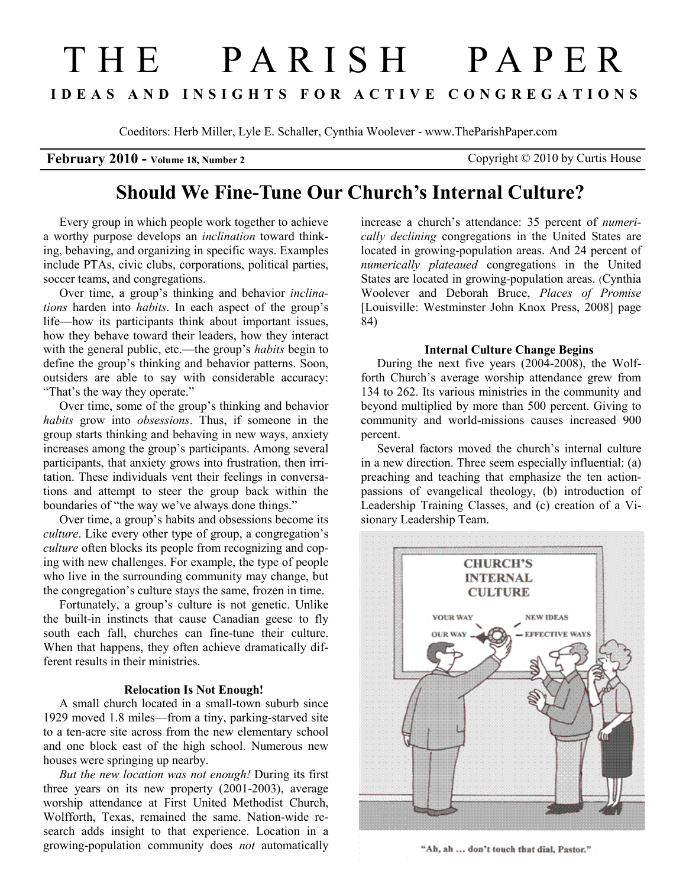# T H E P A R I S H P A P E R I D E A S A N D I N S I G H T S F O R A C T I V E C O N G R E G A T I O N S

Coeditors: Herb Miller, Lyle E. Schaller, Cynthia Woolever - www.TheParishPaper.com

February 2010 - Volume 18, Number 2 Copyright © 2010 by Curtis House

## Should We Fine-Tune Our Church's Internal Culture?

Every group in which people work together to achieve a worthy purpose develops an inclination toward thinking, behaving, and organizing in specific ways. Examples include PTAs, civic clubs, corporations, political parties, soccer teams, and congregations.

Over time, a group's thinking and behavior inclinations harden into habits. In each aspect of the group's life—how its participants think about important issues, how they behave toward their leaders, how they interact with the general public, etc.—the group's habits begin to define the group's thinking and behavior patterns. Soon, outsiders are able to say with considerable accuracy: "That's the way they operate."

Over time, some of the group's thinking and behavior habits grow into *obsessions*. Thus, if someone in the group starts thinking and behaving in new ways, anxiety increases among the group's participants. Among several participants, that anxiety grows into frustration, then irritation. These individuals vent their feelings in conversations and attempt to steer the group back within the boundaries of "the way we've always done things."

Over time, a group's habits and obsessions become its culture. Like every other type of group, a congregation's culture often blocks its people from recognizing and coping with new challenges. For example, the type of people who live in the surrounding community may change, but the congregation's culture stays the same, frozen in time.

Fortunately, a group's culture is not genetic. Unlike the built-in instincts that cause Canadian geese to fly south each fall, churches can fine-tune their culture. When that happens, they often achieve dramatically different results in their ministries.

### Relocation Is Not Enough!

A small church located in a small-town suburb since 1929 moved 1.8 miles—from a tiny, parking-starved site to a ten-acre site across from the new elementary school and one block east of the high school. Numerous new houses were springing up nearby.

But the new location was not enough! During its first three years on its new property (2001-2003), average worship attendance at First United Methodist Church, Wolfforth, Texas, remained the same. Nation-wide research adds insight to that experience. Location in a growing-population community does not automatically

increase a church's attendance: 35 percent of numerically declining congregations in the United States are located in growing-population areas. And 24 percent of numerically plateaued congregations in the United States are located in growing-population areas. (Cynthia Woolever and Deborah Bruce, Places of Promise [Louisville: Westminster John Knox Press, 2008] page 84)

#### Internal Culture Change Begins

During the next five years (2004-2008), the Wolfforth Church's average worship attendance grew from 134 to 262. Its various ministries in the community and beyond multiplied by more than 500 percent. Giving to community and world-missions causes increased 900 percent.

Several factors moved the church's internal culture in a new direction. Three seem especially influential: (a) preaching and teaching that emphasize the ten actionpassions of evangelical theology, (b) introduction of Leadership Training Classes, and (c) creation of a Visionary Leadership Team.



"Ah, ah ... don't touch that dial, Pastor."